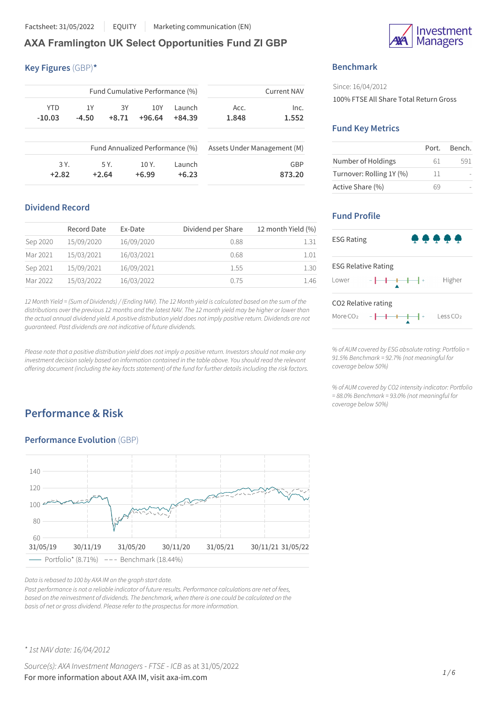Factsheet: 31/05/2022 EQUITY Marketing communication (EN)

# **AXA Framlington UK Select Opportunities Fund ZI GBP**

## **Key Figures** (GBP)**\***

| <b>Current NAV</b> |                             |          | Fund Cumulative Performance (%) |         |         |            |  |  |
|--------------------|-----------------------------|----------|---------------------------------|---------|---------|------------|--|--|
| Inc.               | Acc.                        | Launch   | 10Y                             | 3Y      | 1Y      | <b>YTD</b> |  |  |
| 1.552              | 1.848                       | $+84.39$ | $+96.64$                        | $+8.71$ | $-4.50$ | $-10.03$   |  |  |
|                    | Assets Under Management (M) |          | Fund Annualized Performance (%) |         |         |            |  |  |
| GBP                |                             | Launch   | 10Y <sub>1</sub>                | 5 Y.    |         | 3 Y.       |  |  |
| 873.20             |                             | $+6.23$  | $+6.99$                         | $+2.64$ |         | $+2.82$    |  |  |

## **Dividend Record**

|          | Record Date | Ex-Date    | Dividend per Share | 12 month Yield (%) |
|----------|-------------|------------|--------------------|--------------------|
| Sep 2020 | 15/09/2020  | 16/09/2020 | 0.88               | 1.31               |
| Mar 2021 | 15/03/2021  | 16/03/2021 | 0.68               | 1.01               |
| Sep 2021 | 15/09/2021  | 16/09/2021 | 1.55               | 1.30               |
| Mar 2022 | 15/03/2022  | 16/03/2022 | 0.75               | 1.46               |

12 Month Yield = (Sum of Dividends) / (Ending NAV). The 12 Month yield is calculated based on the sum of the distributions over the previous 12 months and the latest NAV. The 12 month yield may be higher or lower than the actual annual dividend yield. A positive distribution yield does not imply positive return. Dividends are not *guaranteed. Past dividends are not indicative of future dividends.*

Please note that a positive distribution yield does not imply a positive return. Investors should not make any *investment decision solely based on information contained in the table above. You should read the relevant offering document (including the key factsstatement) of the fund for further detailsincluding the risk factors.*

# **Performance & Risk**

## **Performance Evolution** (GBP)



*Data isrebased to 100 by AXA IM on the graph start date.*

*Past performance is not a reliable indicator of future results. Performance calculations are net of fees, based on the reinvestment of dividends. The benchmark, when there is one could be calculated on the basis of net or gross dividend. Please refer to the prospectusfor more information.*

nvestment **Managers** 

## **Benchmark**

Since: 16/04/2012 100% FTSE All Share Total Return Gross

## **Fund Key Metrics**

|                          | Port. | Bench. |
|--------------------------|-------|--------|
| Number of Holdings       | 61    | 591    |
| Turnover: Rolling 1Y (%) | 11    |        |
| Active Share (%)         |       |        |

## **Fund Profile**



*% of AUM covered by ESG absolute rating: Portfolio = 91.5% Benchmark = 92.7% (not meaningful for coverage below 50%)*

*% of AUM covered by CO2 intensity indicator: Portfolio = 88.0% Benchmark = 93.0% (not meaningful for coverage below 50%)*

*\* 1st NAV date: 16/04/2012*

*Source(s): AXA Investment Managers* - *FTSE* - *ICB* as at 31/05/2022 For more information about AXA IM, visit axa-im.com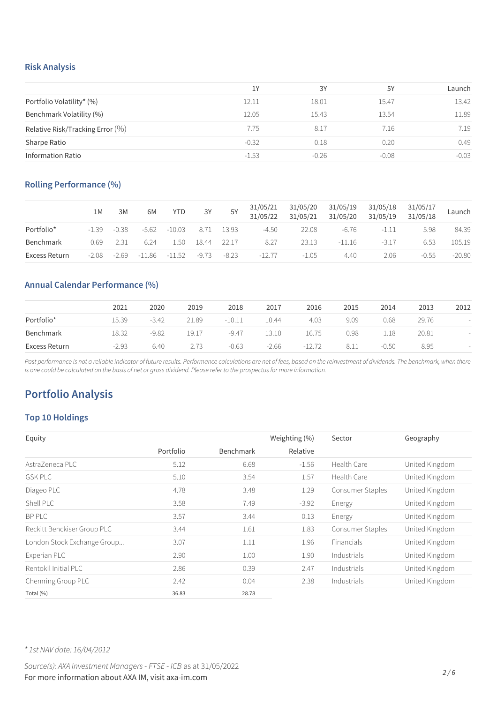### **Risk Analysis**

|                                     | 1Y      | 3Y      | 5Y      | Launch  |
|-------------------------------------|---------|---------|---------|---------|
| Portfolio Volatility* (%)           | 12.11   | 18.01   | 15.47   | 13.42   |
| Benchmark Volatility (%)            | 12.05   | 15.43   | 13.54   | 11.89   |
| Relative Risk/Tracking Error $(\%)$ | 7.75    | 8.17    | 7.16    | 7.19    |
| Sharpe Ratio                        | $-0.32$ | 0.18    | 0.20    | 0.49    |
| <b>Information Ratio</b>            | $-1.53$ | $-0.26$ | $-0.08$ | $-0.03$ |

## **Rolling Performance (%)**

|               | 1M      | 3M      | 6M      | <b>YTD</b> | 3Y    | 5Y         | 31/05/21<br>31/05/22 | 31/05/20<br>31/05/21 | 31/05/19<br>31/05/20 | 31/05/18<br>31/05/19 | 31/05/17<br>31/05/18 | Launch   |
|---------------|---------|---------|---------|------------|-------|------------|----------------------|----------------------|----------------------|----------------------|----------------------|----------|
| Portfolio*    | $-1.39$ | $-0.38$ | $-5.62$ | $-10.03$   |       | 8.71 13.93 | $-4.50$              | 22.08                | $-6.76$              | -1.11                | 5.98                 | 84.39    |
| Benchmark     | 0.69    | - 2.31  | 6 24    | 1.50       | 18.44 | 22.17      | 8.27                 | 23.13                | $-11.16$             | $-3.17$              | 6.53                 | 105.19   |
| Excess Return | $-2.08$ | $-2.69$ | -11.86  | -11.52     | -9.73 | -8.23      | $-127$               | $-1.05$              | 4.40                 | 2.06                 | $-0.55$              | $-20.80$ |

## **Annual Calendar Performance (%)**

|               | 2021    | 2020    | 2019  | 2018     | 2017    | 2016     | 2015 | 2014    | 2013  | 2012 |
|---------------|---------|---------|-------|----------|---------|----------|------|---------|-------|------|
| Portfolio*    | 15.39   | $-3.42$ | 21.89 | $-10.11$ | 10.44   | 4.03     | 9.09 | 0.68    | 29.76 |      |
| Benchmark     | 18.32   | $-9.82$ | 19.17 | $-9.47$  | 13.10   | 16.75    | 0.98 | 1.18    | 20.81 |      |
| Excess Return | $-2.93$ | 6.40    | 2.73  | $-0.63$  | $-2.66$ | $-12.72$ | 8.11 | $-0.50$ | 8.95  |      |

Past performance is not a reliable indicator of future results. Performance calculations are net of fees, based on the reinvestment of dividends. The benchmark, when there is one could be calculated on the basis of net or gross dividend. Please refer to the prospectus for more information.

# **Portfolio Analysis**

## **Top 10 Holdings**

| Equity                      |           |           | Weighting (%) | Sector           | Geography      |
|-----------------------------|-----------|-----------|---------------|------------------|----------------|
|                             | Portfolio | Benchmark | Relative      |                  |                |
| AstraZeneca PLC             | 5.12      | 6.68      | $-1.56$       | Health Care      | United Kingdom |
| <b>GSK PLC</b>              | 5.10      | 3.54      | 1.57          | Health Care      | United Kingdom |
| Diageo PLC                  | 4.78      | 3.48      | 1.29          | Consumer Staples | United Kingdom |
| Shell PLC                   | 3.58      | 7.49      | $-3.92$       | Energy           | United Kingdom |
| BP PLC                      | 3.57      | 3.44      | 0.13          | Energy           | United Kingdom |
| Reckitt Benckiser Group PLC | 3.44      | 1.61      | 1.83          | Consumer Staples | United Kingdom |
| London Stock Exchange Group | 3.07      | 1.11      | 1.96          | Financials       | United Kingdom |
| Experian PLC                | 2.90      | 1.00      | 1.90          | Industrials      | United Kingdom |
| Rentokil Initial PLC        | 2.86      | 0.39      | 2.47          | Industrials      | United Kingdom |
| Chemring Group PLC          | 2.42      | 0.04      | 2.38          | Industrials      | United Kingdom |
| Total (%)                   | 36.83     | 28.78     |               |                  |                |

*\* 1st NAV date: 16/04/2012*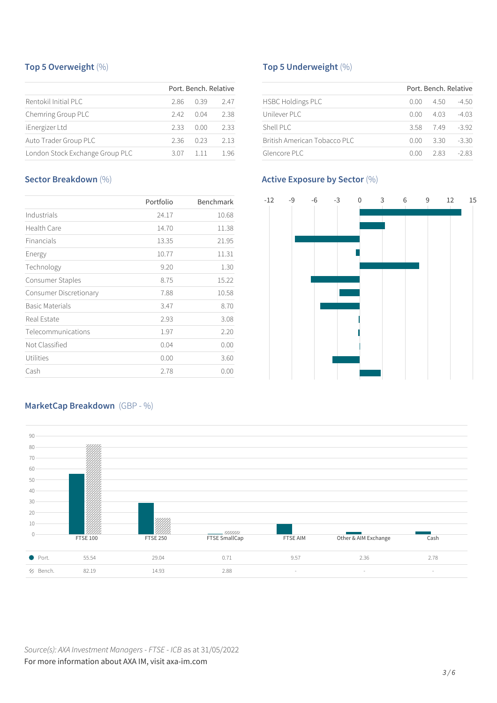## **Top 5 Overweight** (%)

|                                 |      | Port, Bench, Relative |      |
|---------------------------------|------|-----------------------|------|
| Rentokil Initial PLC            | 286  | 0.39                  | 2.47 |
| Chemring Group PLC              | 242  | 0 Q 4                 | 2.38 |
| iEnergizer Ltd                  | 2.33 | 0.OO                  | 2.33 |
| Auto Trader Group PLC           | 2.36 | 0.23                  | 2.13 |
| London Stock Exchange Group PLC | 3.07 | 111                   | 1 96 |

## **Sector Breakdown** (%)

|                        | Portfolio | Benchmark |
|------------------------|-----------|-----------|
| Industrials            | 24.17     | 10.68     |
| Health Care            | 14.70     | 11.38     |
| Financials             | 13.35     | 21.95     |
| Energy                 | 10.77     | 11.31     |
| Technology             | 9.20      | 1.30      |
| Consumer Staples       | 8.75      | 15.22     |
| Consumer Discretionary | 7.88      | 10.58     |
| <b>Basic Materials</b> | 3.47      | 8.70      |
| Real Estate            | 2.93      | 3.08      |
| Telecommunications     | 1.97      | 2.20      |
| Not Classified         | 0.04      | 0.00      |
| Utilities              | 0.00      | 3.60      |
| Cash                   | 2.78      | 0.00      |

## **Top 5 Underweight** (%)

|                              |      | Port, Bench, Relative |         |
|------------------------------|------|-----------------------|---------|
| <b>HSBC Holdings PLC</b>     | 0.00 | 4.50                  | -4.50   |
| Unilever PLC                 | 0.00 | 4 0 3                 | $-403$  |
| Shell PLC                    | 3.58 | 749                   | $-392$  |
| British American Tobacco PLC | 0.OO | -3.30                 | $-3.30$ |
| Glencore PLC                 | 0 OO | 283                   | $-283$  |

## **Active Exposure by Sector** (%)



## **MarketCap Breakdown** (GBP - %)

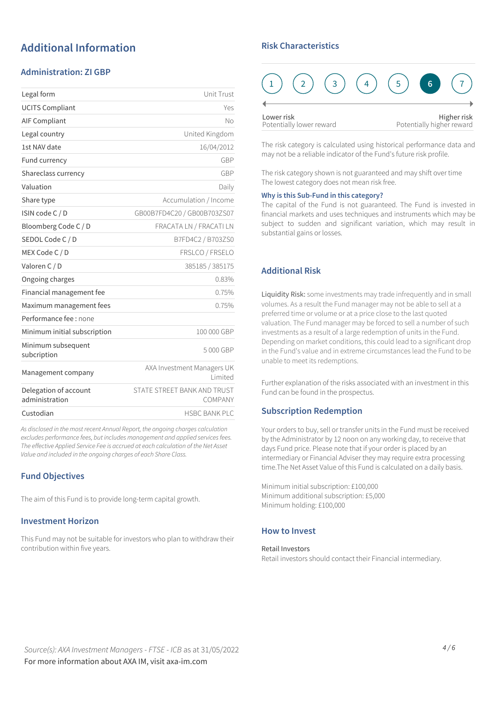# **Additional Information**

## **Administration: ZI GBP**

| Legal form                              | Unit Trust                             |
|-----------------------------------------|----------------------------------------|
| <b>UCITS Compliant</b>                  | Yes                                    |
| <b>AIF Compliant</b>                    | No                                     |
| Legal country                           | United Kingdom                         |
| 1st NAV date                            | 16/04/2012                             |
| Fund currency                           | GBP                                    |
| Shareclass currency                     | GBP                                    |
| Valuation                               | Daily                                  |
| Share type                              | Accumulation / Income                  |
| ISIN code C / D                         | GB00B7FD4C20 / GB00B703ZS07            |
| Bloomberg Code C / D                    | FRACATA LN / FRACATI LN                |
| SEDOL Code C / D                        | B7FD4C2 / B703ZS0                      |
| MEX Code C / D                          | FRSLCO / FRSELO                        |
| Valoren C / D                           | 385185 / 385175                        |
| Ongoing charges                         | 0.83%                                  |
| Financial management fee                | 0.75%                                  |
| Maximum management fees                 | 0.75%                                  |
| Performance fee : none                  |                                        |
| Minimum initial subscription            | 100 000 GBP                            |
| Minimum subsequent<br>subcription       | 5000 GBP                               |
| Management company                      | AXA Investment Managers UK<br>Limited  |
| Delegation of account<br>administration | STATE STREET BANK AND TRUST<br>COMPANY |
| Custodian                               | <b>HSBC BANK PLC</b>                   |
|                                         |                                        |

*As disclosed in the most recent Annual Report, the ongoing charges calculation excludes performance fees, but includes management and applied servicesfees. The effective Applied Service Fee is accrued at each calculation of the Net Asset Value and included in the ongoing charges of each Share Class.*

## **Fund Objectives**

The aim of this Fund is to provide long-term capital growth.

### **Investment Horizon**

This Fund may not be suitable for investors who plan to withdraw their contribution within five years.

### **Risk Characteristics**

| Lower risk | Potentially lower reward |  | Higher risk<br>Potentially higher reward |  |
|------------|--------------------------|--|------------------------------------------|--|

The risk category is calculated using historical performance data and may not be a reliable indicator of the Fund's future risk profile.

The risk category shown is not guaranteed and may shift over time The lowest category does not mean risk free.

#### **Why is this Sub-Fund in this category?**

The capital of the Fund is not guaranteed. The Fund is invested in financial markets and uses techniques and instruments which may be subject to sudden and significant variation, which may result in substantial gains or losses.

## **Additional Risk**

Liquidity Risk: some investments may trade infrequently and in small volumes. As a result the Fund manager may not be able to sell at a preferred time or volume or at a price close to the last quoted valuation. The Fund manager may be forced to sell a number of such investments as a result of a large redemption of units in the Fund. Depending on market conditions, this could lead to a significant drop in the Fund's value and in extreme circumstances lead the Fund to be unable to meet its redemptions.

Further explanation of the risks associated with an investment in this Fund can be found in the prospectus.

### **Subscription Redemption**

Your orders to buy, sell or transfer units in the Fund must be received by the Administrator by 12 noon on any working day, to receive that days Fund price. Please note that if your order is placed by an intermediary or Financial Adviser they may require extra processing time.The Net Asset Value of this Fund is calculated on a daily basis.

Minimum initial subscription: £100,000 Minimum additional subscription: £5,000 Minimum holding: £100,000

### **How to Invest**

Retail Investors Retail investors should contact their Financial intermediary.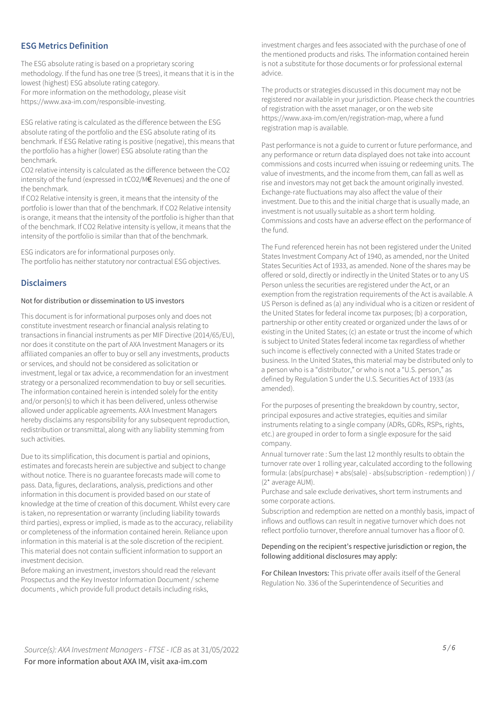## **ESG Metrics Definition**

The ESG absolute rating is based on a proprietary scoring methodology. If the fund has one tree (5 trees), it means that it is in the lowest (highest) ESG absolute rating category. For more information on the methodology, please visit https://www.axa-im.com/responsible-investing.

ESG relative rating is calculated as the difference between the ESG absolute rating of the portfolio and the ESG absolute rating of its benchmark. If ESG Relative rating is positive (negative), this means that the portfolio has a higher (lower) ESG absolute rating than the benchmark.

CO2 relative intensity is calculated as the difference between the CO2 intensity of the fund (expressed in tCO2/M€ Revenues) and the one of the benchmark.

If CO2 Relative intensity is green, it means that the intensity of the portfolio is lower than that of the benchmark. If CO2 Relative intensity is orange, it means that the intensity of the portfolio is higher than that of the benchmark. If CO2 Relative intensity is yellow, it means that the intensity of the portfolio is similar than that of the benchmark.

ESG indicators are for informational purposes only. The portfolio has neither statutory nor contractual ESG objectives.

### **Disclaimers**

#### Not for distribution or dissemination to US investors

This document is for informational purposes only and does not constitute investment research or financial analysis relating to transactions in financial instruments as per MIF Directive (2014/65/EU), nor does it constitute on the part of AXA Investment Managers or its affiliated companies an offer to buy or sell any investments, products or services, and should not be considered as solicitation or investment, legal or tax advice, a recommendation for an investment strategy or a personalized recommendation to buy or sell securities. The information contained herein is intended solely for the entity and/or person(s) to which it has been delivered, unless otherwise allowed under applicable agreements. AXA Investment Managers hereby disclaims any responsibility for any subsequent reproduction, redistribution or transmittal, along with any liability stemming from such activities.

Due to its simplification, this document is partial and opinions, estimates and forecasts herein are subjective and subject to change without notice. There is no guarantee forecasts made will come to pass. Data, figures, declarations, analysis, predictions and other information in this document is provided based on our state of knowledge at the time of creation of this document. Whilst every care is taken, no representation or warranty (including liability towards third parties), express or implied, is made as to the accuracy, reliability or completeness of the information contained herein. Reliance upon information in this material is at the sole discretion of the recipient. This material does not contain sufficient information to support an investment decision.

Before making an investment, investors should read the relevant Prospectus and the Key Investor Information Document / scheme documents , which provide full product details including risks,

investment charges and fees associated with the purchase of one of the mentioned products and risks. The information contained herein is not a substitute for those documents or for professional external advice.

The products or strategies discussed in this document may not be registered nor available in your jurisdiction. Please check the countries of registration with the asset manager, or on the web site https://www.axa-im.com/en/registration-map, where a fund registration map is available.

Past performance is not a guide to current or future performance, and any performance or return data displayed does not take into account commissions and costs incurred when issuing or redeeming units. The value of investments, and the income from them, can fall as well as rise and investors may not get back the amount originally invested. Exchange-rate fluctuations may also affect the value of their investment. Due to this and the initial charge that is usually made, an investment is not usually suitable as a short term holding. Commissions and costs have an adverse effect on the performance of the fund.

The Fund referenced herein has not been registered under the United States Investment Company Act of 1940, as amended, nor the United States Securities Act of 1933, as amended. None of the shares may be offered or sold, directly or indirectly in the United States or to any US Person unless the securities are registered under the Act, or an exemption from the registration requirements of the Act is available. A US Person is defined as (a) any individual who is a citizen or resident of the United States for federal income tax purposes; (b) a corporation, partnership or other entity created or organized under the laws of or existing in the United States; (c) an estate or trust the income of which is subject to United States federal income tax regardless of whether such income is effectively connected with a United States trade or business. In the United States, this material may be distributed only to a person who is a "distributor," or who is not a "U.S. person," as defined by Regulation S under the U.S. Securities Act of 1933 (as amended).

For the purposes of presenting the breakdown by country, sector, principal exposures and active strategies, equities and similar instruments relating to a single company (ADRs, GDRs, RSPs, rights, etc.) are grouped in order to form a single exposure for the said company.

Annual turnover rate : Sum the last 12 monthly results to obtain the turnover rate over 1 rolling year, calculated according to the following formula: (abs(purchase) + abs(sale) - abs(subscription - redemption) ) / (2\* average AUM).

Purchase and sale exclude derivatives, short term instruments and some corporate actions.

Subscription and redemption are netted on a monthly basis, impact of inflows and outflows can result in negative turnover which does not reflect portfolio turnover, therefore annual turnover has a floor of 0.

### Depending on the recipient's respective jurisdiction or region, the following additional disclosures may apply:

For Chilean Investors: This private offer avails itself of the General Regulation No. 336 of the Superintendence of Securities and